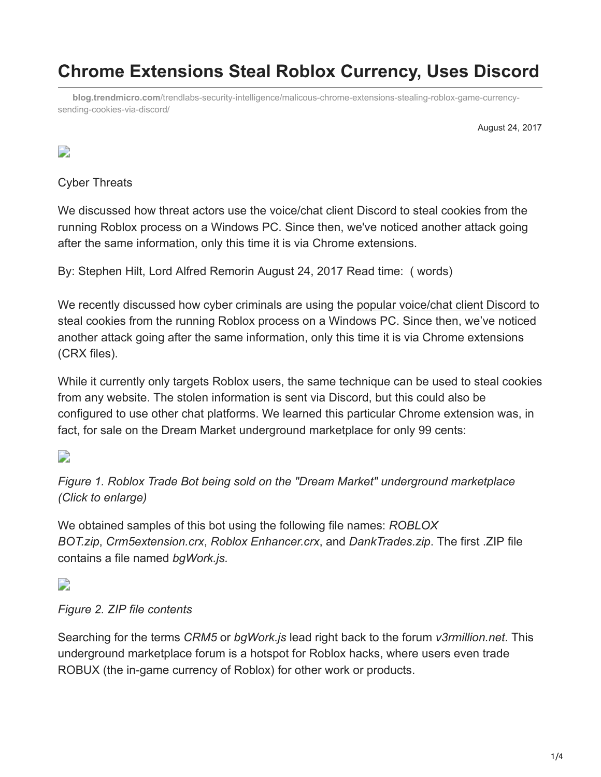# **Chrome Extensions Steal Roblox Currency, Uses Discord**

**blog.trendmicro.com**[/trendlabs-security-intelligence/malicous-chrome-extensions-stealing-roblox-game-currency](http://blog.trendmicro.com/trendlabs-security-intelligence/malicous-chrome-extensions-stealing-roblox-game-currency-sending-cookies-via-discord/)sending-cookies-via-discord/

August 24, 2017

### $\Box$

#### Cyber Threats

We discussed how threat actors use the voice/chat client Discord to steal cookies from the running Roblox process on a Windows PC. Since then, we've noticed another attack going after the same information, only this time it is via Chrome extensions.

By: Stephen Hilt, Lord Alfred Remorin August 24, 2017 Read time: ( words)

We recently discussed how cyber criminals are using the [popular voice/chat client Discord t](http://blog.trendmicro.com/en_us/research/17/h/chat-app-discord-abused-cybercriminals-attack-roblox-players.html)o steal cookies from the running Roblox process on a Windows PC. Since then, we've noticed another attack going after the same information, only this time it is via Chrome extensions (CRX files).

While it currently only targets Roblox users, the same technique can be used to steal cookies from any website. The stolen information is sent via Discord, but this could also be configured to use other chat platforms. We learned this particular Chrome extension was, in fact, for sale on the Dream Market underground marketplace for only 99 cents:

# $\overline{\phantom{a}}$

*Figure 1. Roblox Trade Bot being sold on the "Dream Market" underground marketplace (Click to enlarge)*

We obtained samples of this bot using the following file names: *ROBLOX BOT.zip*, *Crm5extension.crx*, *Roblox Enhancer.crx*, and *DankTrades.zip*. The first .ZIP file contains a file named *bgWork.js.*

### D

#### *Figure 2. ZIP file contents*

Searching for the terms *CRM5* or *bgWork.js* lead right back to the forum *v3rmillion.net*. This underground marketplace forum is a hotspot for Roblox hacks, where users even trade ROBUX (the in-game currency of Roblox) for other work or products.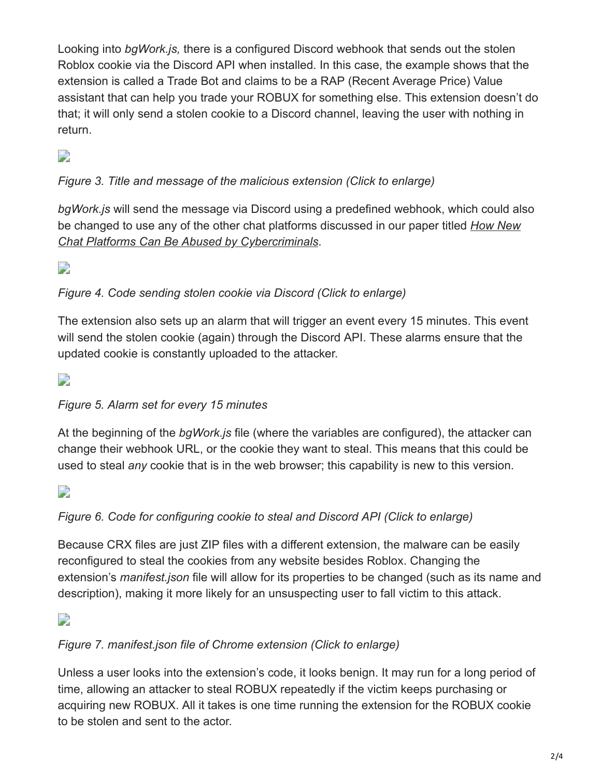Looking into *bgWork.js,* there is a configured Discord webhook that sends out the stolen Roblox cookie via the Discord API when installed. In this case, the example shows that the extension is called a Trade Bot and claims to be a RAP (Recent Average Price) Value assistant that can help you trade your ROBUX for something else. This extension doesn't do that; it will only send a stolen cookie to a Discord channel, leaving the user with nothing in return.

# $\overline{\phantom{a}}$

## *Figure 3. Title and message of the malicious extension (Click to enlarge)*

*bgWork.js* will send the message via Discord using a predefined webhook, which could also [be changed to use any of the other chat platforms discussed in our paper titled](https://www.trendmicro.com/vinfo/us/security/news/cybercrime-and-digital-threats/how-new-chat-platforms-abused-by-cybercriminals) *How New Chat Platforms Can Be Abused by Cybercriminals*.

D

## *Figure 4. Code sending stolen cookie via Discord (Click to enlarge)*

The extension also sets up an alarm that will trigger an event every 15 minutes. This event will send the stolen cookie (again) through the Discord API. These alarms ensure that the updated cookie is constantly uploaded to the attacker.

D

### *Figure 5. Alarm set for every 15 minutes*

At the beginning of the *bgWork.js* file (where the variables are configured), the attacker can change their webhook URL, or the cookie they want to steal. This means that this could be used to steal *any* cookie that is in the web browser; this capability is new to this version.

 $\overline{\phantom{a}}$ 

# *Figure 6. Code for configuring cookie to steal and Discord API (Click to enlarge)*

Because CRX files are just ZIP files with a different extension, the malware can be easily reconfigured to steal the cookies from any website besides Roblox. Changing the extension's *manifest.json* file will allow for its properties to be changed (such as its name and description), making it more likely for an unsuspecting user to fall victim to this attack.

 $\mathbf{L}$ 

### *Figure 7. manifest.json file of Chrome extension (Click to enlarge)*

Unless a user looks into the extension's code, it looks benign. It may run for a long period of time, allowing an attacker to steal ROBUX repeatedly if the victim keeps purchasing or acquiring new ROBUX. All it takes is one time running the extension for the ROBUX cookie to be stolen and sent to the actor.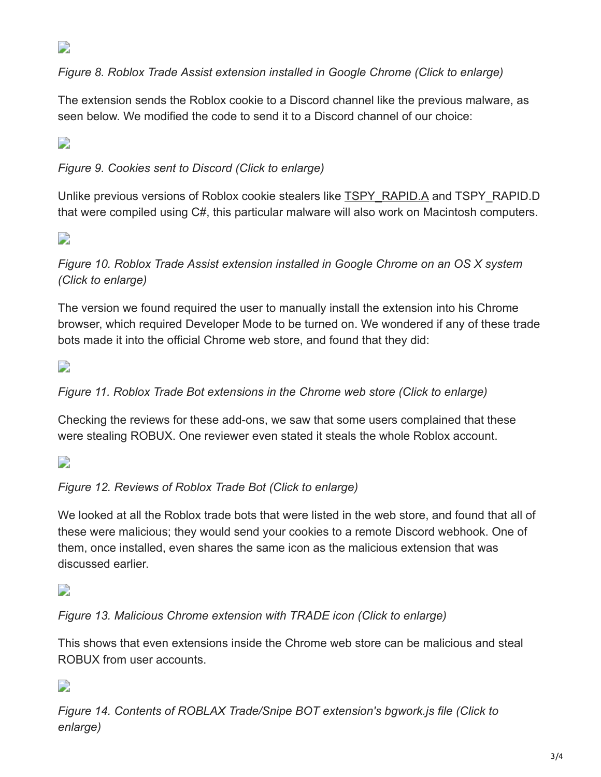D

*Figure 8. Roblox Trade Assist extension installed in Google Chrome (Click to enlarge)*

The extension sends the Roblox cookie to a Discord channel like the previous malware, as seen below. We modified the code to send it to a Discord channel of our choice:

# D

*Figure 9. Cookies sent to Discord (Click to enlarge)*

Unlike previous versions of Roblox cookie stealers like [TSPY\\_RAPID.A](https://www.trendmicro.com/vinfo/tmr/?/us/threat-encyclopedia/malware/tspy_rapid.a) and TSPY\_RAPID.D that were compiled using C#, this particular malware will also work on Macintosh computers.

# $\overline{\phantom{a}}$

*Figure 10. Roblox Trade Assist extension installed in Google Chrome on an OS X system (Click to enlarge)*

The version we found required the user to manually install the extension into his Chrome browser, which required Developer Mode to be turned on. We wondered if any of these trade bots made it into the official Chrome web store, and found that they did:

 $\Box$ 

*Figure 11. Roblox Trade Bot extensions in the Chrome web store (Click to enlarge)*

Checking the reviews for these add-ons, we saw that some users complained that these were stealing ROBUX. One reviewer even stated it steals the whole Roblox account.

 $\Box$ 

*Figure 12. Reviews of Roblox Trade Bot (Click to enlarge)*

We looked at all the Roblox trade bots that were listed in the web store, and found that all of these were malicious; they would send your cookies to a remote Discord webhook. One of them, once installed, even shares the same icon as the malicious extension that was discussed earlier.

 $\Box$ 

*Figure 13. Malicious Chrome extension with TRADE icon (Click to enlarge)*

This shows that even extensions inside the Chrome web store can be malicious and steal ROBUX from user accounts.

D

*Figure 14. Contents of ROBLAX Trade/Snipe BOT extension's bgwork.js file (Click to enlarge)*